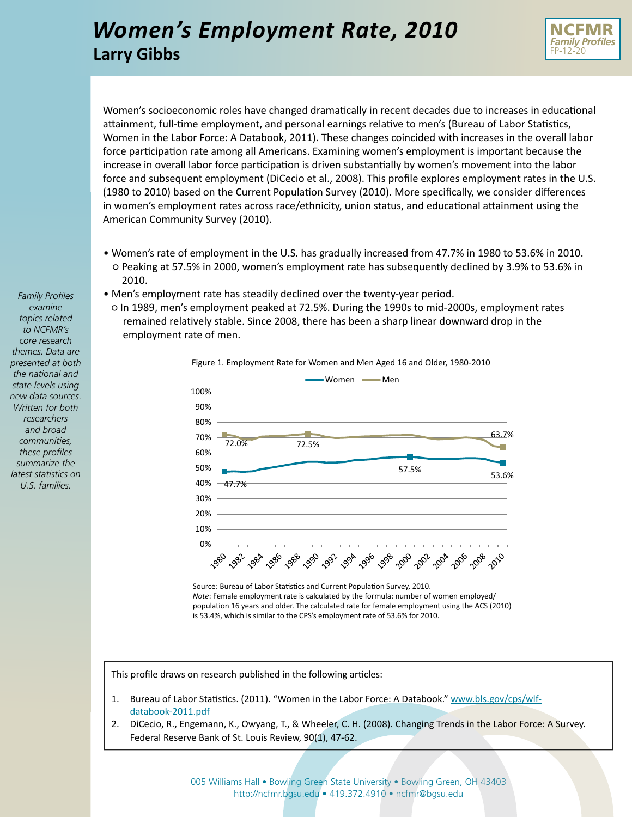# *Women's Employment Rate, 2010* **Larry Gibbs**



Women's socioeconomic roles have changed dramatically in recent decades due to increases in educational attainment, full-time employment, and personal earnings relative to men's (Bureau of Labor Statistics, Women in the Labor Force: A Databook, 2011). These changes coincided with increases in the overall labor force participation rate among all Americans. Examining women's employment is important because the increase in overall labor force participation is driven substantially by women's movement into the labor force and subsequent employment (DiCecio et al., 2008). This profile explores employment rates in the U.S. (1980 to 2010) based on the Current Population Survey (2010). More specifically, we consider differences in women's employment rates across race/ethnicity, union status, and educational attainment using the American Community Survey (2010).

- Women's rate of employment in the U.S. has gradually increased from 47.7% in 1980 to 53.6% in 2010. ○ Peaking at 57.5% in 2000, women's employment rate has subsequently declined by 3.9% to 53.6% in 2010.
- Men's employment rate has steadily declined over the twenty-year period.
	- In 1989, men's employment peaked at 72.5%. During the 1990s to mid-2000s, employment rates remained relatively stable. Since 2008, there has been a sharp linear downward drop in the employment rate of men.

Figure 1. Employment Rate for Women and Men Aged 16 and Older, 1980-2010



Source: Bureau of Labor Statistics and Current Population Survey, 2010. *Note*: Female employment rate is calculated by the formula: number of women employed/ population 16 years and older. The calculated rate for female employment using the ACS (2010) is 53.4%, which is similar to the CPS's employment rate of 53.6% for 2010.

This profile draws on research published in the following articles:

- 1. Bureau of Labor Statistics. (2011). "Women in the Labor Force: A Databook." [www.bls.gov/cps/wlf](http://www.bls.gov/cps/wlf-databook-2011.pdf)[databook-2011.pdf](http://www.bls.gov/cps/wlf-databook-2011.pdf)
- 2. DiCecio, R., Engemann, K., Owyang, T., & Wheeler, C. H. (2008). Changing Trends in the Labor Force: A Survey. Federal Reserve Bank of St. Louis Review, 90(1), 47-62.

*Family Profiles examine topics related to NCFMR's core research themes. Data are presented at both the national and state levels using new data sources. Written for both researchers and broad communities, these profiles summarize the latest statistics on U.S. families.*

#### [005 Williams Hall • Bowling Green State University • Bowling Green, OH 43403](http://ncfmr.bgsu.edu) http://ncfmr.bgsu.edu • 419.372.4910 • ncfmr@bgsu.edu